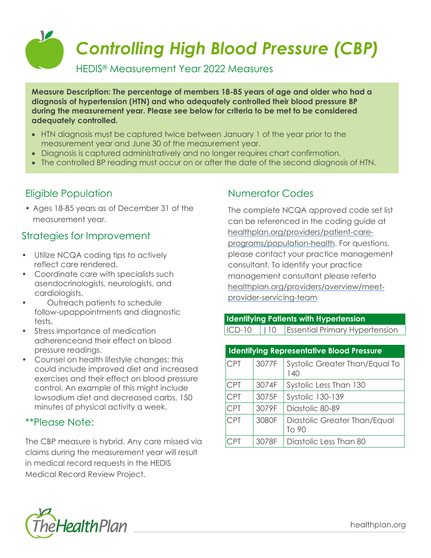# V *Controlling High Blood Pressure (CBP)*

HEDIS® Measurement Year 2022 Measures

**Measure Description: The percentage of members 18-85 years of age and older who had a diagnosis of hypertension (HTN) and who adequately controlled their blood pressure BP during the measurement year. Please see below for criteria to be met to be considered adequately controlled.**

- HTN diagnosis must be captured twice between January 1 of the year prior to the measurement year and June 30 of the measurement year.
- Diagnosis is captured administratively and no longer requires chart confirmation.
- The controlled BP reading must occur on or after the date of the second diagnosis of HTN.

## Eligible Population

• Ages 18-85 years as of December 31 of the measurement year.

### Strategies for Improvement

- Utilize NCQA coding tips to actively reflect care rendered.
- Coordinate care with specialists such asendocrinologists, neurologists, and cardiologists.
- Outreach patients to schedule follow-upappointments and diagnostic tests.
- Stress importance of medication adherenceand their effect on blood pressure readings.
- Counsel on health lifestyle changes; this could include improved diet and increased exercises and their effect on blood pressure control. An example of this might include lowsodium diet and decreased carbs, 150 minutes of physical activity a week.

#### \*\*Please Note:

The CBP measure is hybrid. Any care missed via claims during the measurement year will result in medical record requests in the HEDIS Medical Record Review Project.

# Numerator Codes

The complete NCQA approved code set list can be referenced in the coding guide at [healthplan.org/providers/patient-care](https://www.healthplan.org/providers/patient-care-programs/population-health)[programs/population-health.](https://www.healthplan.org/providers/patient-care-programs/population-health) For questions, please contact your practice management consultant. To identify your practice management consultant please referto [healthplan.org/providers/overview/meet](https://healthplan.org/providers/overview/meet-provider-servicing-team)[provider-servicing-team](https://healthplan.org/providers/overview/meet-provider-servicing-team)

| <b>Identifying Patients with Hypertension</b> |  |                                                |  |  |
|-----------------------------------------------|--|------------------------------------------------|--|--|
|                                               |  | ICD-10     10   Essential Primary Hypertension |  |  |

| <b>Identifying Representative Blood Pressure</b> |       |                                       |  |
|--------------------------------------------------|-------|---------------------------------------|--|
| <b>CPT</b>                                       | 3077F | Systolic Greater Than/Equal To<br>140 |  |
| <b>CPT</b>                                       | 3074F | Systolic Less Than 130                |  |
| <b>CPT</b>                                       | 3075F | <b>Systolic 130-139</b>               |  |
| <b>CPT</b>                                       | 3079F | Diastolic 80-89                       |  |
| <b>CPT</b>                                       | 3080F | Diastolic Greater Than/Equal<br>To 90 |  |
| CPT.                                             | 3078F | Diastolic Less Than 80                |  |